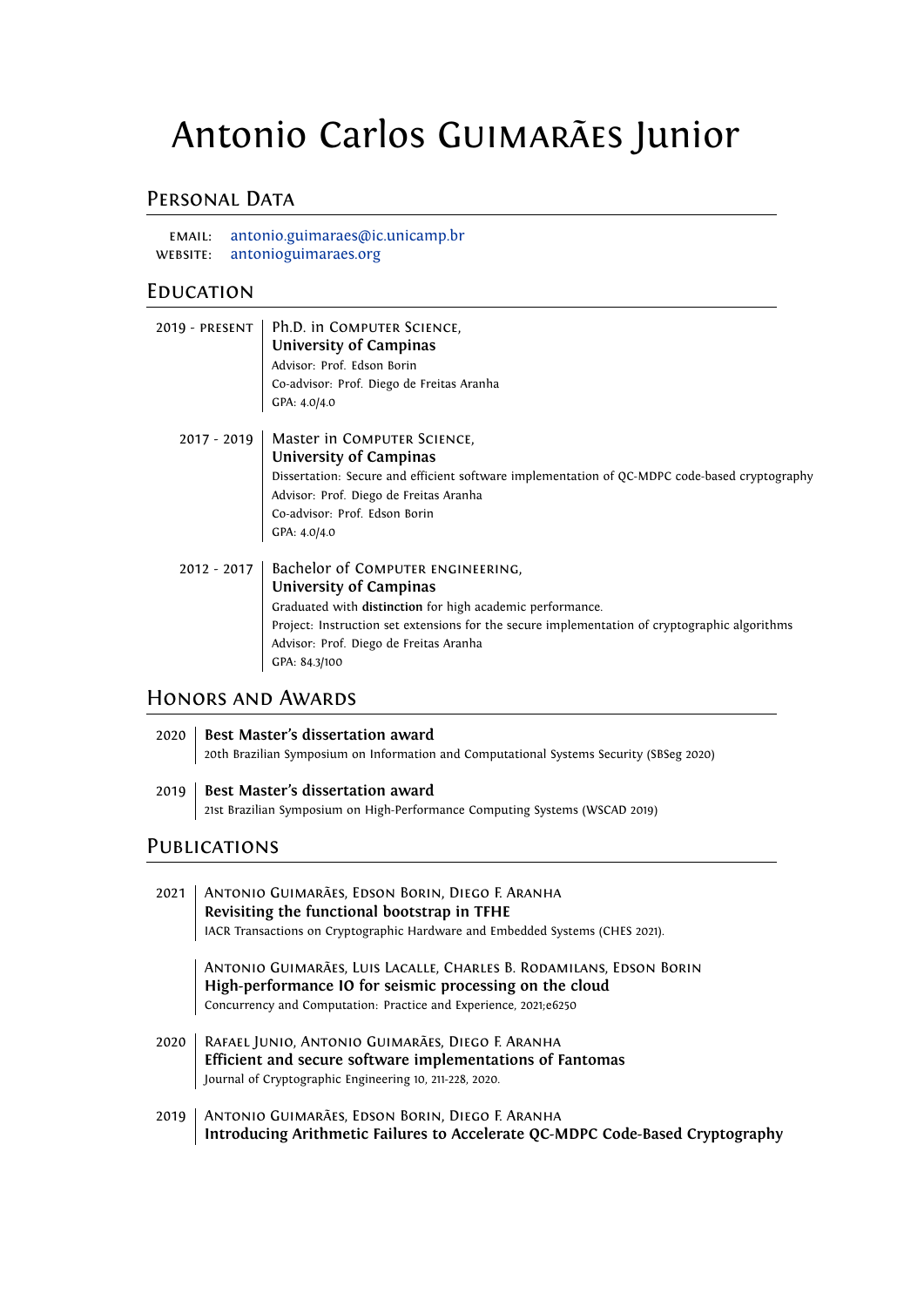# Antonio Carlos Guimarães Junior

## PERSONAL DATA

email: [antonio.guimaraes@ic.unicamp.br](mailto:antonio.guimaraes@ic.unicamp.br) website: [antonioguimaraes.org](https://antonioguimaraes.org/)

#### **EDUCATION**

|               | 2019 - PRESENT   Ph.D. in COMPUTER SCIENCE,<br>University of Campinas<br>Advisor: Prof. Edson Borin<br>Co-advisor: Prof. Diego de Freitas Aranha<br>GPA: 4.0/4.0                                                                                                                     |
|---------------|--------------------------------------------------------------------------------------------------------------------------------------------------------------------------------------------------------------------------------------------------------------------------------------|
| $2017 - 2019$ | Master in COMPUTER SCIENCE,<br>University of Campinas<br>Dissertation: Secure and efficient software implementation of QC-MDPC code-based cryptography<br>Advisor: Prof. Diego de Freitas Aranha<br>Co-advisor: Prof. Edson Borin<br>GPA: 4.0/4.0                                    |
| $2012 - 2017$ | Bachelor of COMPUTER ENGINEERING,<br>University of Campinas<br>Graduated with distinction for high academic performance.<br>Project: Instruction set extensions for the secure implementation of cryptographic algorithms<br>Advisor: Prof. Diego de Freitas Aranha<br>GPA: 84.3/100 |

#### Honors and Awards

| 2020   Best Master's dissertation award                                                 |  |
|-----------------------------------------------------------------------------------------|--|
| 20th Brazilian Symposium on Information and Computational Systems Security (SBSeg 2020) |  |
|                                                                                         |  |

2019 **Best Master's dissertation award** 21st Brazilian Symposium on High-Performance Computing Systems (WSCAD 2019)

## **PUBLICATIONS**

| 2021 | ANTONIO GUIMARÃES, EDSON BORIN, DIEGO F. ARANHA<br>Revisiting the functional bootstrap in TFHE                                                                           |
|------|--------------------------------------------------------------------------------------------------------------------------------------------------------------------------|
|      | IACR Transactions on Cryptographic Hardware and Embedded Systems (CHES 2021).                                                                                            |
|      | ANTONIO GUIMARÃES, LUIS LACALLE, CHARLES B. RODAMILANS, EDSON BORIN<br>High-performance IO for seismic processing on the cloud                                           |
|      | Concurrency and Computation: Practice and Experience, 2021;e6250                                                                                                         |
| 2020 | RAFAEL JUNIO, ANTONIO GUIMARÃES, DIEGO F. ARANHA<br>Efficient and secure software implementations of Fantomas<br>Journal of Cryptographic Engineering 10, 211-228, 2020. |
|      | 2010   ANTONIO CUIMADÃES EDSON RODIN DIEGO E ADANUM                                                                                                                      |

2019 | Antonio Guimarães, Edson Borin, Diego F. Aranha **Introducing Arithmetic Failures to Accelerate QC-MDPC Code-Based Cryptography**